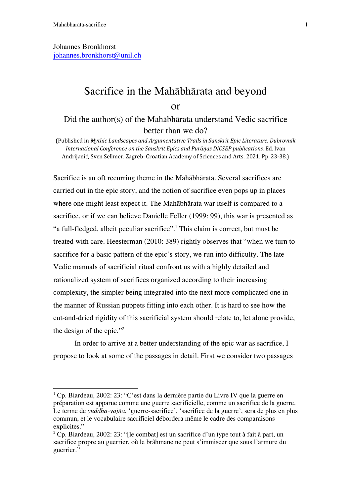Johannes Bronkhorst johannes.bronkhorst@unil.ch

## Sacrifice in the Mahābhārata and beyond or

Did the author(s) of the Mahābhārata understand Vedic sacrifice better than we do?

(Published in *Mythic Landscapes and Argumentative Trails in Sanskrit Epic Literature. Dubrovnik International Conference on the Sanskrit Epics and Purānas DICSEP publications.* Ed. Ivan Andrijanić, Sven Sellmer. Zagreb: Croatian Academy of Sciences and Arts. 2021. Pp. 23-38.)

Sacrifice is an oft recurring theme in the Mahābhārata. Several sacrifices are carried out in the epic story, and the notion of sacrifice even pops up in places where one might least expect it. The Mahābhārata war itself is compared to a sacrifice, or if we can believe Danielle Feller (1999: 99), this war is presented as "a full-fledged, albeit peculiar sacrifice".<sup>1</sup> This claim is correct, but must be treated with care. Heesterman (2010: 389) rightly observes that "when we turn to sacrifice for a basic pattern of the epic's story, we run into difficulty. The late Vedic manuals of sacrificial ritual confront us with a highly detailed and rationalized system of sacrifices organized according to their increasing complexity, the simpler being integrated into the next more complicated one in the manner of Russian puppets fitting into each other. It is hard to see how the cut-and-dried rigidity of this sacrificial system should relate to, let alone provide, the design of the epic."<sup>2</sup>

In order to arrive at a better understanding of the epic war as sacrifice, I propose to look at some of the passages in detail. First we consider two passages

 $1$  Cp. Biardeau, 2002: 23: "C'est dans la dernière partie du Livre IV que la guerre en préparation est apparue comme une guerre sacrificielle, comme un sacrifice de la guerre. Le terme de *yuddha-yajña*, 'guerre-sacrifice', 'sacrifice de la guerre', sera de plus en plus commun, et le vocabulaire sacrificiel débordera même le cadre des comparaisons explicites."

<sup>&</sup>lt;sup>2</sup> Cp. Biardeau, 2002: 23: "[le combat] est un sacrifice d'un type tout à fait à part, un sacrifice propre au guerrier, où le brâhmane ne peut s'immiscer que sous l'armure du guerrier."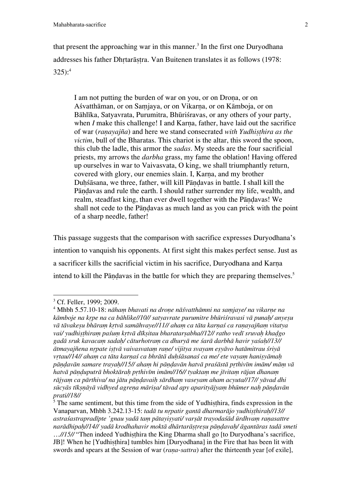that present the approaching war in this manner.<sup>3</sup> In the first one Duryodhana addresses his father Dhṛtarāṣṭra. Van Buitenen translates it as follows (1978:  $325$ :<sup>4</sup>

I am not putting the burden of war on you, or on Droṇa, or on Aśvatthāman, or on Saṃjaya, or on Vikarṇa, or on Kāmboja, or on Bāhlīka, Satyavrata, Purumitra, Bhūriśravas, or any others of your party, when *I* make this challenge! I and Karna, father, have laid out the sacrifice of war (*raṇayajña*) and here we stand consecrated *with Yudhiṣṭhira as the victim*, bull of the Bharatas. This chariot is the altar, this sword the spoon, this club the ladle, this armor the *sadas*. My steeds are the four sacrificial priests, my arrows the *darbha* grass, my fame the oblation! Having offered up ourselves in war to Vaivasvata, O king, we shall triumphantly return, covered with glory, our enemies slain. I, Karna, and my brother Duḥśāsana, we three, father, will kill Pāṇḍavas in battle. I shall kill the Pāṇḍavas and rule the earth. I should rather surrender my life, wealth, and realm, steadfast king, than ever dwell together with the Pāṇḍavas! We shall not cede to the Pāṇḍavas as much land as you can prick with the point of a sharp needle, father!

This passage suggests that the comparison with sacrifice expresses Duryodhana's intention to vanquish his opponents. At first sight this makes perfect sense. Just as a sacrificer kills the sacrificial victim in his sacrifice, Duryodhana and Karṇa intend to kill the Pāndavas in the battle for which they are preparing themselves.<sup>5</sup>

<sup>&</sup>lt;sup>3</sup> Cf. Feller, 1999; 2009.

<sup>4</sup> Mhbh 5.57.10-18: *nāhaṃ bhavati na droṇe nāśvatthāmni na saṃjaye/ na vikarṇe na kāmboje na kṛpe na ca bāhlike//10// satyavrate purumitre bhūriśravasi vā punaḥ/ anyeṣu*  vā tāvakesu bhāram krtvā samāhvaye//11// aham ca tāta karnaś ca ranayajñam vitatya vai/ yudhisthiram paśum krtvā dīksitau bharatarsabha//12// ratho vedī sruvah khadgo gadā sruk kavacam sadah/ cāturhotram ca dhuryā me śarā darbhā havir yaśah//13// ātmayajñena nrpate istvā vaivasvatam rane/vijitya svayam esyāvo hatāmitrau śriyā vrtau//14// aham ca tāta karnaś ca bhrātā duhśāsanaś ca me/ ete vayam hanisyāmah pāndavān samare travah//15// aham hi pāndavān hatvā praśāstā prthivīm imām/ mām vā hatvā pānduputrā bhoktārah prthivīm imām//16// tyaktam me jīvitam rājan dhanam *rājyaṃ ca pārthiva/ na jātu pāṇḍavaiḥ sārdhaṃ vaseyam aham acyuta//17// yāvad dhi*  sūcyās tīksnāyā vidhyed agrena mārisa/ tāvad apy aparityājyam bhūmer nah pāndavān *prati//18//*

 $\frac{1}{5}$  The same sentiment, but this time from the side of Yudhisthira, finds expression in the Vanaparvan, Mhbh 3.242.13-15: *tadā tu nṛpatir gantā dharmarājo yudhiṣṭhiraḥ//13//*  astraśastrapradīpte 'gnau yadā tam pātayisyati/ varsāt trayodaśād ūrdhvam ranasattre narādhipah//14// yadā krodhahavir moktā dhārtarāstresu pāndavah/ āgantāras tadā smeti ...//15// "Then indeed Yudhisthira the King Dharma shall go [to Duryodhana's sacrifice, JB]! When he [Yudhiṣṭhira] tumbles him [Duryodhana] in the Fire that has been lit with swords and spears at the Session of war (*rana-sattra*) after the thirteenth year [of exile],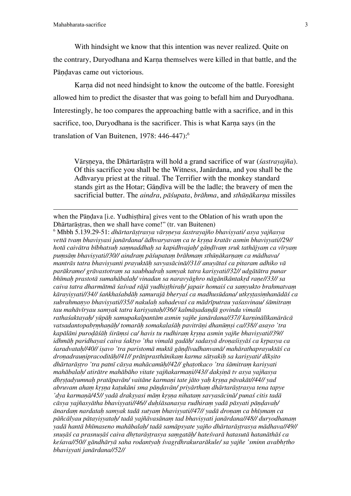With hindsight we know that this intention was never realized. Quite on the contrary, Duryodhana and Karna themselves were killed in that battle, and the Pāṇḍavas came out victorious.

Karna did not need hindsight to know the outcome of the battle. Foresight allowed him to predict the disaster that was going to befall him and Duryodhana. Interestingly, he too compares the approaching battle with a sacrifice, and in this sacrifice, too, Duryodhana is the sacrificer. This is what Karna says (in the translation of Van Buitenen, 1978: 446-447):<sup>6</sup>

Vārṣṇeya, the Dhārtarāṣṭra will hold a grand sacrifice of war (*śastrayajña*). Of this sacrifice you shall be the Witness, Janārdana, and you shall be the Adhvaryu priest at the ritual. The Terrifier with the monkey standard stands girt as the Hotar; Gāṇḍīva will be the ladle; the bravery of men the sacrificial butter. The *aindra*, *pāśupata*, *brāhma*, and *sthūṇākarṇa* missiles

when the Pāndava [i.e. Yudhisthira] gives vent to the Oblation of his wrath upon the Dhārtarāṣṭras, then we shall have come!" (tr. van Buitenen)

<sup>6</sup> Mhbh 5.139.29-51: *dhārtarāṣṭrasya vārṣṇeya śastrayajño bhaviṣyati/ asya yajñasya vettā tvaṃ bhaviṣyasi janārdana/ ādhvaryavaṃ ca te kṛṣṇa kratāv asmin bhaviṣyati//29//*  hotā caivātra bībhatsuh samnaddhah sa kapidhvajah/ gāndīvam sruk tathājyam ca vīryam pumsām bhavisvati//30// aindram pāśupatam brāhmam sthūnākarnam ca mādhava/ *mantrās tatra bhaviṣyanti prayuktāḥ savyasācinā//31// anuyātaś ca pitaram adhiko vā parākrame/ grāvastotraṃ sa saubhadraḥ samyak tatra kariṣyati//32// udgātātra punar*  bhīmah prastotā sumahābalah/vinadan sa naravyāghro nāgānīkāntakrd rane//33// sa caiva tatra dharmātmā śaśvad rājā yudhisthirah/ japair homaiś ca samyukto brahmatvam kāravisvati//34// śankhaśabdāh samurajā bhervaś ca madhusūdana/ utkrstasimhanādāś ca *subrahmaṇyo bhaviṣyati//35// nakulaḥ sahadevaś ca mādrīputrau yaśasvinau/ śāmitraṃ tau mahāvīryau samyak tatra kariṣyataḥ//36// kalmāṣadaṇḍā govinda vimalā* rathaśaktayah/ yūpāh samupakalpantām asmin yajñe janārdana//37// karninālīkanārācā *vatsadantopabṛṃhaṇāḥ/ tomarāḥ somakalaśāḥ pavitrāṇi dhanūṃṣi ca//38// asayo 'tra kapālāni puroḍāśāḥ śirāṃsi ca/ havis tu rudhiraṃ kṛṣṇa asmin yajñe bhaviṣyati//39//*  idhmāh paridhayaś caiva śaktyo 'tha vimalā gadāh/ sadasyā dronaśisyāś ca krpasya ca *śaradvataḥ//40// iṣavo 'tra paristomā muktā gāṇḍīvadhanvanā/ mahārathaprayuktāś ca*  dronadraunipracoditāh//41// prātiprasthānikam karma sātyakih sa karisyati/ dīksito dhārtarāstro 'tra patnī cāsya mahācamūh//42// ghatotkaco 'tra śāmitram karisyati *mahābalaḥ/ atirātre mahābāho vitate yajñakarmaṇi//43// dakṣiṇā tv asya yajñasya*  dhrstadyumnah pratāpavān/ vaitāne karmani tate jāto vah krsna pāvakāt//44// vad abruvam aham krsna katukāni sma pāņdavān/ priyārtham dhārtarāstrasya tena tapye *'dya karmaṇā/45// yadā drakṣyasi māṃ kṛṣṇa nihataṃ savyasācinā/ punaś citis tadā cāsya yajñasyātha bhaviṣyati//46// duḥśāsanasya rudhiraṃ yadā pāsyati pāṇḍavaḥ/*  ānardam nardatah samyak tadā sutyam bhavisyati//47// yadā dronam ca bhīsmam ca pāñcālyau pātayisyatah/ tadā yajñāvasānam tad bhavisyati janārdana//48// duryodhanam yadā hantā bhīmaseno mahābalah/ tadā samāpsyate yajño dhārtarāstrasya mādhava//49// snusāš ca prasnusāš caiva dhrtarāstrasya samgatāh/ hateśvarā hatasutā hatanāthāš ca *keśava//50// gāndhāryā saha rodantyaḥ śvagṛdhrakurarākule/ sa yajñe 'sminn avabhṛtho bhaviṣyati janārdana//52//*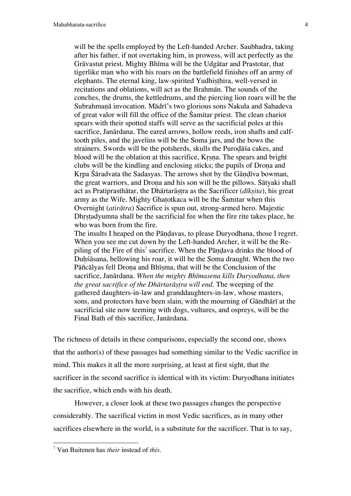will be the spells employed by the Left-handed Archer. Saubhadra, taking after his father, if not overtaking him, in prowess, will act perfectly as the Grāvastut priest. Mighty Bhīma will be the Udgātar and Prastotar, that tigerlike man who with his roars on the battlefield finishes off an army of elephants. The eternal king, law-spirited Yudhiṣṭhira, well-versed in recitations and oblations, will act as the Brahmán. The sounds of the conches, the drums, the kettledrums, and the piercing lion roars will be the Subrahmaṇā invocation. Mādrī's two glorious sons Nakula and Sahadeva of great valor will fill the office of the Śamitar priest. The clean chariot spears with their spotted staffs will serve as the sacrificial poles at this sacrifice, Janārdana. The eared arrows, hollow reeds, iron shafts and calftooth piles, and the javelins will be the Soma jars, and the bows the strainers. Swords will be the potsherds, skulls the Puroḍāśa cakes, and blood will be the oblation at this sacrifice, Kṛṣṇa. The spears and bright clubs will be the kindling and enclosing sticks; the pupils of Drona and Kṛpa Śāradvata the Sadasyas. The arrows shot by the Gāṇḍīva bowman, the great warriors, and Droṇa and his son will be the pillows. Sātyaki shall act as Pratiprasthātar, the Dhārtarāṣṭra as the Sacrificer (*dīkṣita*), his great army as the Wife. Mighty Ghaṭotkaca will be the Śamitar when this Overnight (*atirātra*) Sacrifice is spun out, strong-armed hero. Majestic Dhrstadyumna shall be the sacrificial fee when the fire rite takes place, he who was born from the fire.

The insults I heaped on the Pāṇḍavas, to please Duryodhana, those I regret. When you see me cut down by the Left-handed Archer, it will be the Repiling of the Fire of this<sup>7</sup> sacrifice. When the Pandava drinks the blood of Duhśāsana, bellowing his roar, it will be the Soma draught. When the two Pāñcālyas fell Drona and Bhīsma, that will be the Conclusion of the sacrifice, Janārdana. *When the mighty Bhīmasena kills Duryodhana, then the great sacrifice of the Dhārtarāṣṭra will end*. The weeping of the gathered daughters-in-law and granddaughters-in-law, whose masters, sons, and protectors have been slain, with the mourning of Gāndhārī at the sacrificial site now teeming with dogs, vultures, and ospreys, will be the Final Bath of this sacrifice, Janārdana.

The richness of details in these comparisons, especially the second one, shows that the author(s) of these passages had something similar to the Vedic sacrifice in mind. This makes it all the more surprising, at least at first sight, that the sacrificer in the second sacrifice is identical with its victim: Duryodhana initiates the sacrifice, which ends with his death.

However, a closer look at these two passages changes the perspective considerably. The sacrifical victim in most Vedic sacrifices, as in many other sacrifices elsewhere in the world, is a substitute for the sacrificer. That is to say,

<sup>7</sup> Van Buitenen has *their* instead of *this*.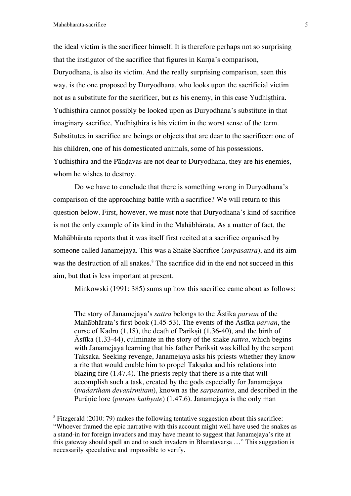the ideal victim is the sacrificer himself. It is therefore perhaps not so surprising that the instigator of the sacrifice that figures in Karṇa's comparison, Duryodhana, is also its victim. And the really surprising comparison, seen this way, is the one proposed by Duryodhana, who looks upon the sacrificial victim not as a substitute for the sacrificer, but as his enemy, in this case Yudhiṣṭhira. Yudhisthira cannot possibly be looked upon as Duryodhana's substitute in that imaginary sacrifice. Yudhisthira is his victim in the worst sense of the term. Substitutes in sacrifice are beings or objects that are dear to the sacrificer: one of his children, one of his domesticated animals, some of his possessions. Yudhiṣṭhira and the Pāṇḍavas are not dear to Duryodhana, they are his enemies, whom he wishes to destroy.

Do we have to conclude that there is something wrong in Duryodhana's comparison of the approaching battle with a sacrifice? We will return to this question below. First, however, we must note that Duryodhana's kind of sacrifice is not the only example of its kind in the Mahābhārata. As a matter of fact, the Mahābhārata reports that it was itself first recited at a sacrifice organised by someone called Janamejaya. This was a Snake Sacrifice (*sarpasattra*), and its aim was the destruction of all snakes.<sup>8</sup> The sacrifice did in the end not succeed in this aim, but that is less important at present.

Minkowski (1991: 385) sums up how this sacrifice came about as follows:

The story of Janamejaya's *sattra* belongs to the Āstīka *parvan* of the Mahābhārata's first book (1.45-53). The events of the Āstīka *parvan*, the curse of Kadrū  $(1.18)$ , the death of Pariksit  $(1.36-40)$ , and the birth of Āstīka (1.33-44), culminate in the story of the snake *sattra*, which begins with Janamejaya learning that his father Pariksit was killed by the serpent Takṣaka. Seeking revenge, Janamejaya asks his priests whether they know a rite that would enable him to propel Taksaka and his relations into blazing fire (1.47.4). The priests reply that there is a rite that will accomplish such a task, created by the gods especially for Janamejaya (*tvadartham devanirmitam*), known as the *sarpasattra*, and described in the Purāṇic lore (*purāṇe kathyate*) (1.47.6). Janamejaya is the only man

<sup>8</sup> Fitzgerald (2010: 79) makes the following tentative suggestion about this sacrifice: "Whoever framed the epic narrative with this account might well have used the snakes as a stand-in for foreign invaders and may have meant to suggest that Janamejaya's rite at this gateway should spell an end to such invaders in Bharatavarsa ..." This suggestion is necessarily speculative and impossible to verify.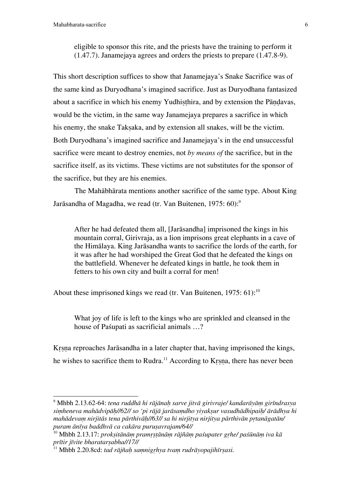eligible to sponsor this rite, and the priests have the training to perform it (1.47.7). Janamejaya agrees and orders the priests to prepare (1.47.8-9).

This short description suffices to show that Janamejaya's Snake Sacrifice was of the same kind as Duryodhana's imagined sacrifice. Just as Duryodhana fantasized about a sacrifice in which his enemy Yudhisthira, and by extension the Pāndavas, would be the victim, in the same way Janamejaya prepares a sacrifice in which his enemy, the snake Taksaka, and by extension all snakes, will be the victim. Both Duryodhana's imagined sacrifice and Janamejaya's in the end unsuccessful sacrifice were meant to destroy enemies, not *by means of* the sacrifice, but in the sacrifice itself, as its victims. These victims are not substitutes for the sponsor of the sacrifice, but they are his enemies.

The Mahābhārata mentions another sacrifice of the same type. About King Jarāsandha of Magadha, we read (tr. Van Buitenen, 1975: 60):<sup>9</sup>

After he had defeated them all, [Jarāsandha] imprisoned the kings in his mountain corral, Girivraja, as a lion imprisons great elephants in a cave of the Himālaya. King Jarāsandha wants to sacrifice the lords of the earth, for it was after he had worshiped the Great God that he defeated the kings on the battlefield. Whenever he defeated kings in battle, he took them in fetters to his own city and built a corral for men!

About these imprisoned kings we read (tr. Van Buitenen, 1975: 61):<sup>10</sup>

What joy of life is left to the kings who are sprinkled and cleansed in the house of Paśupati as sacrificial animals …?

Krsna reproaches Jarāsandha in a later chapter that, having imprisoned the kings, he wishes to sacrifice them to Rudra.<sup>11</sup> According to Krsna, there has never been

<sup>9</sup> Mhbh 2.13.62-64: *tena ruddhā hi rājānaḥ sarve jitvā girivraje/ kandarāyāṃ girīndrasya*  simheneva mahādvipāh//62// so 'pi rājā jarāsamdho yiyaksur vasudhādhipaih/ ārādhya hi mahādevam nirjitās tena pārthivāh//63// sa hi nirjitya nirjitya pārthivān prtanāgatān/ *puram ānīya baddhvā ca cakāra puruṣavrajam/64//*

 $^{\scriptstyle 10}$  Mhbh 2.13.17: prokṣitānāṃ pramṛṣṭānāṃ rājñāṃ paśupater gṛhe/ paśūnāṃ iva kā *prītir jīvite bharatarṣabha//17//*

<sup>11</sup> Mhbh 2.20.8cd: *tad rājñaḥ saṃnigṛhya tvaṃ rudrāyopajihīrṣasi.*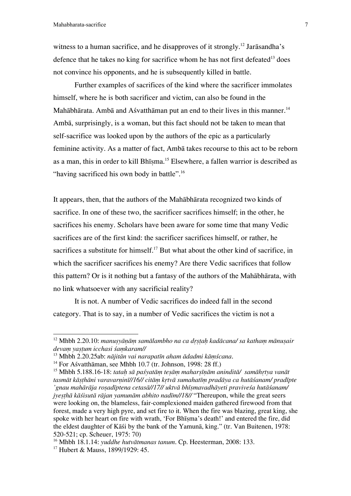Mahabharata-sacrifice 7

witness to a human sacrifice, and he disapproves of it strongly.<sup>12</sup> Jarāsandha's defence that he takes no king for sacrifice whom he has not first defeated<sup>13</sup> does not convince his opponents, and he is subsequently killed in battle.

Further examples of sacrifices of the kind where the sacrificer immolates himself, where he is both sacrificer and victim, can also be found in the Mahābhārata. Ambā and Aśvatthāman put an end to their lives in this manner.<sup>14</sup> Ambā, surprisingly, is a woman, but this fact should not be taken to mean that self-sacrifice was looked upon by the authors of the epic as a particularly feminine activity. As a matter of fact, Ambā takes recourse to this act to be reborn as a man, this in order to kill Bhīṣma.15 Elsewhere, a fallen warrior is described as "having sacrificed his own body in battle".<sup>16</sup>

It appears, then, that the authors of the Mahābhārata recognized two kinds of sacrifice. In one of these two, the sacrificer sacrifices himself; in the other, he sacrifices his enemy. Scholars have been aware for some time that many Vedic sacrifices are of the first kind: the sacrificer sacrifices himself, or rather, he sacrifices a substitute for himself.<sup>17</sup> But what about the other kind of sacrifice, in which the sacrificer sacrifices his enemy? Are there Vedic sacrifices that follow this pattern? Or is it nothing but a fantasy of the authors of the Mahābhārata, with no link whatsoever with any sacrificial reality?

It is not. A number of Vedic sacrifices do indeed fall in the second category. That is to say, in a number of Vedic sacrifices the victim is not a

<sup>12</sup> Mhbh 2.20.10: *manuṣyāṇāṃ samālambho na ca dṛṣṭaḥ kadācana/ sa kathaṃ mānuṣair devaṃ yaṣṭum icchasi śaṃkaram//*

<sup>13</sup> Mhbh 2.20.25ab: *nājitān vai narapatīn aham ādadmi kāṃścana*.

<sup>&</sup>lt;sup>14</sup> For Aśvatthāman, see Mhbh 10.7 (tr. Johnson, 1998: 28 ff.)

<sup>&</sup>lt;sup>15</sup> Mhbh 5.188.16-18; tatah sā paśvatām tesām maharsīnām aninditā/ samāhrtva vanāt tasmāt kāsthāni varavarninī//16// citām krtvā sumahatīm pradāva ca hutāśanam/ pradīpte 'gnau mahārāja rosadīptena cetasā//17// uktvā bhīsmavadhāyeti praviveśa hutāśanam/ *jyeṣṭhā kāśisutā rājan yamunām abhito nadīm//18//* "Thereupon, while the great seers were looking on, the blameless, fair-complexioned maiden gathered firewood from that forest, made a very high pyre, and set fire to it. When the fire was blazing, great king, she spoke with her heart on fire with wrath, 'For Bhīṣma's death!' and entered the fire, did the eldest daughter of Kāśi by the bank of the Yamunā, king." (tr. Van Buitenen, 1978: 520-521; cp. Scheuer, 1975: 70)

<sup>16</sup> Mhbh 18.1.14: *yuddhe hutvātmanas tanum*. Cp. Heesterman, 2008: 133.

<sup>&</sup>lt;sup>17</sup> Hubert & Mauss, 1899/1929: 45.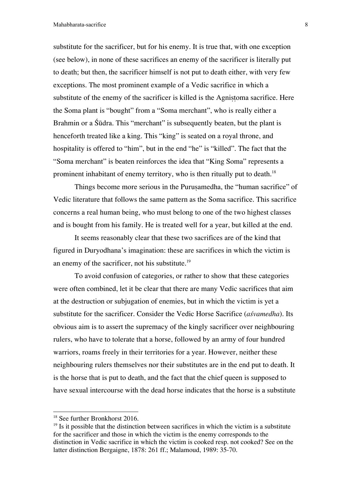substitute for the sacrificer, but for his enemy. It is true that, with one exception (see below), in none of these sacrifices an enemy of the sacrificer is literally put to death; but then, the sacrificer himself is not put to death either, with very few exceptions. The most prominent example of a Vedic sacrifice in which a substitute of the enemy of the sacrificer is killed is the Agnistoma sacrifice. Here the Soma plant is "bought" from a "Soma merchant", who is really either a Brahmin or a Śūdra. This "merchant" is subsequently beaten, but the plant is henceforth treated like a king. This "king" is seated on a royal throne, and hospitality is offered to "him", but in the end "he" is "killed". The fact that the "Soma merchant" is beaten reinforces the idea that "King Soma" represents a prominent inhabitant of enemy territory, who is then ritually put to death.<sup>18</sup>

Things become more serious in the Purusamedha, the "human sacrifice" of Vedic literature that follows the same pattern as the Soma sacrifice. This sacrifice concerns a real human being, who must belong to one of the two highest classes and is bought from his family. He is treated well for a year, but killed at the end.

It seems reasonably clear that these two sacrifices are of the kind that figured in Duryodhana's imagination: these are sacrifices in which the victim is an enemy of the sacrificer, not his substitute.<sup>19</sup>

To avoid confusion of categories, or rather to show that these categories were often combined, let it be clear that there are many Vedic sacrifices that aim at the destruction or subjugation of enemies, but in which the victim is yet a substitute for the sacrificer. Consider the Vedic Horse Sacrifice (*aśvamedha*). Its obvious aim is to assert the supremacy of the kingly sacrificer over neighbouring rulers, who have to tolerate that a horse, followed by an army of four hundred warriors, roams freely in their territories for a year. However, neither these neighbouring rulers themselves nor their substitutes are in the end put to death. It is the horse that is put to death, and the fact that the chief queen is supposed to have sexual intercourse with the dead horse indicates that the horse is a substitute

<sup>&</sup>lt;sup>18</sup> See further Bronkhorst 2016.

 $19$  Is it possible that the distinction between sacrifices in which the victim is a substitute for the sacrificer and those in which the victim is the enemy corresponds to the distinction in Vedic sacrifice in which the victim is cooked resp. not cooked? See on the latter distinction Bergaigne, 1878: 261 ff.; Malamoud, 1989: 35-70.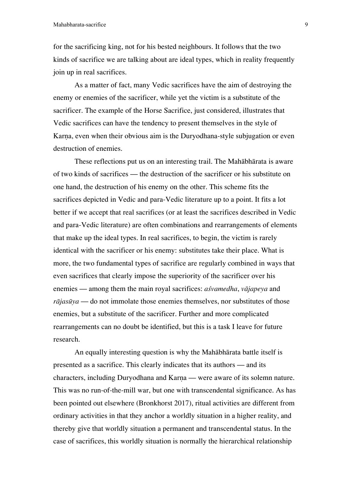Mahabharata-sacrifice 9

for the sacrificing king, not for his bested neighbours. It follows that the two kinds of sacrifice we are talking about are ideal types, which in reality frequently join up in real sacrifices.

As a matter of fact, many Vedic sacrifices have the aim of destroying the enemy or enemies of the sacrificer, while yet the victim is a substitute of the sacrificer. The example of the Horse Sacrifice, just considered, illustrates that Vedic sacrifices can have the tendency to present themselves in the style of Karna, even when their obvious aim is the Duryodhana-style subjugation or even destruction of enemies.

These reflections put us on an interesting trail. The Mahābhārata is aware of two kinds of sacrifices — the destruction of the sacrificer or his substitute on one hand, the destruction of his enemy on the other. This scheme fits the sacrifices depicted in Vedic and para-Vedic literature up to a point. It fits a lot better if we accept that real sacrifices (or at least the sacrifices described in Vedic and para-Vedic literature) are often combinations and rearrangements of elements that make up the ideal types. In real sacrifices, to begin, the victim is rarely identical with the sacrificer or his enemy: substitutes take their place. What is more, the two fundamental types of sacrifice are regularly combined in ways that even sacrifices that clearly impose the superiority of the sacrificer over his enemies — among them the main royal sacrifices: *aśvamedha*, *vājapeya* and *rājasūya* — do not immolate those enemies themselves, nor substitutes of those enemies, but a substitute of the sacrificer. Further and more complicated rearrangements can no doubt be identified, but this is a task I leave for future research.

An equally interesting question is why the Mahābhārata battle itself is presented as a sacrifice. This clearly indicates that its authors — and its characters, including Duryodhana and Karna — were aware of its solemn nature. This was no run-of-the-mill war, but one with transcendental significance. As has been pointed out elsewhere (Bronkhorst 2017), ritual activities are different from ordinary activities in that they anchor a worldly situation in a higher reality, and thereby give that worldly situation a permanent and transcendental status. In the case of sacrifices, this worldly situation is normally the hierarchical relationship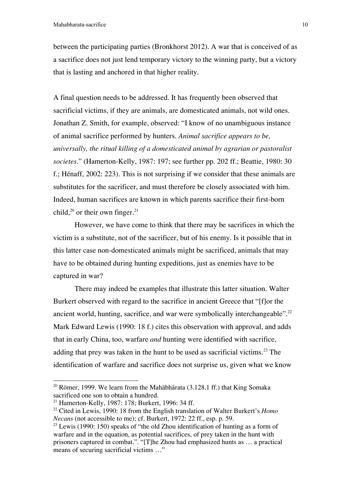between the participating parties (Bronkhorst 2012). A war that is conceived of as a sacrifice does not just lend temporary victory to the winning party, but a victory that is lasting and anchored in that higher reality.

A final question needs to be addressed. It has frequently been observed that sacrificial victims, if they are animals, are domesticated animals, not wild ones. Jonathan Z. Smith, for example, observed: "I know of no unambiguous instance of animal sacrifice performed by hunters. *Animal sacrifice appears to be, universally, the ritual killing of a domesticated animal by agrarian or pastoralist societes*." (Hamerton-Kelly, 1987: 197; see further pp. 202 ff.; Beattie, 1980: 30 f.; Hénaff, 2002: 223). This is not surprising if we consider that these animals are substitutes for the sacrificer, and must therefore be closely associated with him. Indeed, human sacrifices are known in which parents sacrifice their first-born child,<sup>20</sup> or their own finger.<sup>21</sup>

However, we have come to think that there may be sacrifices in which the victim is a substitute, not of the sacrificer, but of his enemy. Is it possible that in this latter case non-domesticated animals might be sacrificed, animals that may have to be obtained during hunting expeditions, just as enemies have to be captured in war?

There may indeed be examples that illustrate this latter situation. Walter Burkert observed with regard to the sacrifice in ancient Greece that "[f]or the ancient world, hunting, sacrifice, and war were symbolically interchangeable".<sup>22</sup> Mark Edward Lewis (1990: 18 f.) cites this observation with approval, and adds that in early China, too, warfare *and* hunting were identified with sacrifice, adding that prey was taken in the hunt to be used as sacrificial victims.<sup>23</sup> The identification of warfare and sacrifice does not surprise us, given what we know

 $20$  Römer, 1999. We learn from the Mahābhārata (3.128.1 ff.) that King Somaka sacrificed one son to obtain a hundred.

 $21$  Hamerton-Kelly, 1987; 178; Burkert, 1996; 34 ff.

<sup>22</sup> Cited in Lewis, 1990: 18 from the English translation of Walter Burkert's *Homo Necans* (not accessible to me); cf. Burkert, 1972: 22 ff., esp. p. 59.

 $23$  Lewis (1990: 150) speaks of "the old Zhou identification of hunting as a form of warfare and in the equation, as potential sacrifices, of prey taken in the hunt with prisoners captured in combat.". "[T]he Zhou had emphasized hunts as … a practical means of securing sacrificial victims …"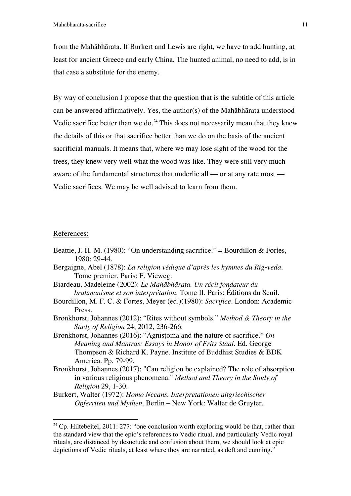from the Mahābhārata. If Burkert and Lewis are right, we have to add hunting, at least for ancient Greece and early China. The hunted animal, no need to add, is in that case a substitute for the enemy.

By way of conclusion I propose that the question that is the subtitle of this article can be answered affirmatively. Yes, the author(s) of the Mahābhārata understood Vedic sacrifice better than we do. $^{24}$  This does not necessarily mean that they knew the details of this or that sacrifice better than we do on the basis of the ancient sacrificial manuals. It means that, where we may lose sight of the wood for the trees, they knew very well what the wood was like. They were still very much aware of the fundamental structures that underlie all — or at any rate most — Vedic sacrifices. We may be well advised to learn from them.

## References:

- Beattie, J. H. M. (1980): "On understanding sacrifice." = Bourdillon & Fortes, 1980: 29-44.
- Bergaigne, Abel (1878): *La religion védique d'après les hymnes du Rig-veda*. Tome premier. Paris: F. Vieweg.
- Biardeau, Madeleine (2002): *Le Mahābhārata. Un récit fondateur du brahmanisme et son interprétation*. Tome II. Paris: Éditions du Seuil.
- Bourdillon, M. F. C. & Fortes, Meyer (ed.)(1980): *Sacrifice*. London: Academic Press.
- Bronkhorst, Johannes (2012): "Rites without symbols." *Method & Theory in the Study of Religion* 24, 2012, 236-266.
- Bronkhorst, Johannes (2016): "Agnistoma and the nature of sacrifice." On *Meaning and Mantras: Essays in Honor of Frits Staal*. Ed. George Thompson & Richard K. Payne. Institute of Buddhist Studies & BDK America. Pp. 79-99.
- Bronkhorst, Johannes (2017): "Can religion be explained? The role of absorption in various religious phenomena." *Method and Theory in the Study of Religion* 29, 1-30.
- Burkert, Walter (1972): *Homo Necans. Interpretationen altgriechischer Opferriten und Mythen*. Berlin – New York: Walter de Gruyter.

 $24$  Cp. Hiltebeitel, 2011: 277: "one conclusion worth exploring would be that, rather than the standard view that the epic's references to Vedic ritual, and particularly Vedic royal rituals, are distanced by desuetude and confusion about them, we should look at epic depictions of Vedic rituals, at least where they are narrated, as deft and cunning."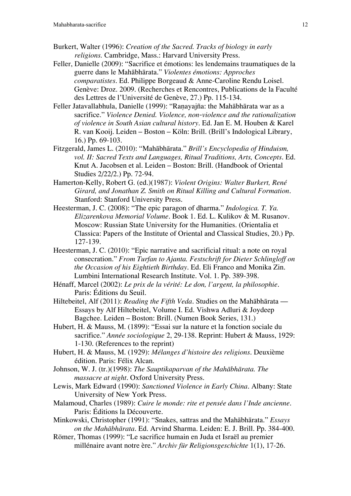- Burkert, Walter (1996): *Creation of the Sacred. Tracks of biology in early religions.* Cambridge, Mass.: Harvard University Press.
- Feller, Danielle (2009): "Sacrifice et émotions: les lendemains traumatiques de la guerre dans le Mahābhārata." *Violentes émotions: Approches comparatistes*. Ed. Philippe Borgeaud & Anne-Caroline Rendu Loisel. Genève: Droz. 2009. (Recherches et Rencontres, Publications de la Faculté des Lettres de l'Université de Genève, 27.) Pp. 115-134.
- Feller Jatavallabhula, Danielle (1999): "Raṇayajña: the Mahābhārata war as a sacrifice." *Violence Denied. Violence, non-violence and the rationalization of violence in South Asian cultural history*. Ed. Jan E. M. Houben & Karel R. van Kooij. Leiden – Boston – Köln: Brill. (Brill's Indological Library, 16.) Pp. 69-103.
- Fitzgerald, James L. (2010): "Mahābhārata." *Brill's Encyclopedia of Hinduism, vol. II: Sacred Texts and Languages, Ritual Traditions, Arts, Concepts*. Ed. Knut A. Jacobsen et al. Leiden – Boston: Brill. (Handbook of Oriental Studies 2/22/2.) Pp. 72-94.
- Hamerton-Kelly, Robert G. (ed.)(1987): *Violent Origins: Walter Burkert, René Girard, and Jonathan Z. Smith on Ritual Killing and Cultural Formation*. Stanford: Stanford University Press.
- Heesterman, J. C. (2008): "The epic paragon of dharma." *Indologica. T. Ya. Elizarenkova Memorial Volume*. Book 1. Ed. L. Kulikov & M. Rusanov. Moscow: Russian State University for the Humanities. (Orientalia et Classica: Papers of the Institute of Oriental and Classical Studies, 20.) Pp. 127-139.
- Heesterman, J. C. (2010): "Epic narrative and sacrificial ritual: a note on royal consecration." *From Turfan to Ajanta. Festschrift for Dieter Schlingloff on the Occasion of his Eightieth Birthday*. Ed. Eli Franco and Monika Zin. Lumbini International Research Institute. Vol. 1. Pp. 389-398.
- Hénaff, Marcel (2002): *Le prix de la vérité: Le don, l'argent, la philosophie*. Paris: Éditions du Seuil.
- Hiltebeitel, Alf (2011): *Reading the Fifth Veda*. Studies on the Mahābhārata Essays by Alf Hiltebeitel, Volume I. Ed. Vishwa Adluri & Joydeep Bagchee. Leiden – Boston: Brill. (Numen Book Series, 131.)
- Hubert, H. & Mauss, M. (1899): "Essai sur la nature et la fonction sociale du sacrifice." *Année sociologique* 2, 29-138. Reprint: Hubert & Mauss, 1929: 1-130. (References to the reprint)
- Hubert, H. & Mauss, M. (1929): *Mélanges d'histoire des religions*. Deuxième édition. Paris: Félix Alcan.
- Johnson, W. J. (tr.)(1998): *The Sauptikaparvan of the Mahābhārata. The massacre at night*. Oxford University Press.
- Lewis, Mark Edward (1990): *Sanctioned Violence in Early China*. Albany: State University of New York Press.
- Malamoud, Charles (1989): *Cuire le monde: rite et pensée dans l'Inde ancienne*. Paris: Éditions la Découverte.
- Minkowski, Christopher (1991): "Snakes, sattras and the Mahābhārata." *Essays on the Mahābhārata*. Ed. Arvind Sharma. Leiden: E. J. Brill. Pp. 384-400.
- Römer, Thomas (1999): "Le sacrifice humain en Juda et Israël au premier millénaire avant notre ère." *Archiv für Religionsgeschichte* 1(1), 17-26.